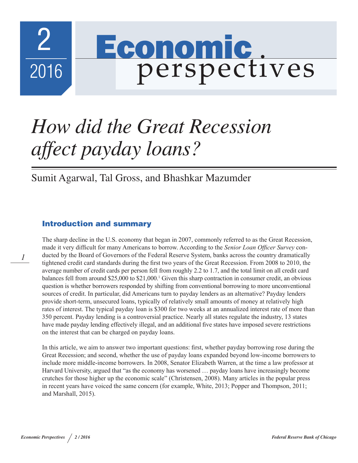

# *How did the Great Recession affect payday loans?*

Sumit Agarwal, Tal Gross, and Bhashkar Mazumder

## Introduction and summary

The sharp decline in the U.S. economy that began in 2007, commonly referred to as the Great Recession, made it very difficult for many Americans to borrow. According to the *Senior Loan Officer Survey* conducted by the Board of Governors of the Federal Reserve System, banks across the country dramatically tightened credit card standards during the first two years of the Great Recession. From 2008 to 2010, the average number of credit cards per person fell from roughly 2.2 to 1.7, and the total limit on all credit card balances fell from around \$25,000 to \$21,000.<sup>1</sup> Given this sharp contraction in consumer credit, an obvious question is whether borrowers responded by shifting from conventional borrowing to more unconventional sources of credit. In particular, did Americans turn to payday lenders as an alternative? Payday lenders provide short-term, unsecured loans, typically of relatively small amounts of money at relatively high rates of interest. The typical payday loan is \$300 for two weeks at an annualized interest rate of more than 350 percent. Payday lending is a controversial practice. Nearly all states regulate the industry, 13 states have made payday lending effectively illegal, and an additional five states have imposed severe restrictions on the interest that can be charged on payday loans.

In this article, we aim to answer two important questions: first, whether payday borrowing rose during the Great Recession; and second, whether the use of payday loans expanded beyond low-income borrowers to include more middle-income borrowers. In 2008, Senator Elizabeth Warren, at the time a law professor at Harvard University, argued that "as the economy has worsened … payday loans have increasingly become crutches for those higher up the economic scale" (Christensen, 2008). Many articles in the popular press in recent years have voiced the same concern (for example, White, 2013; Popper and Thompson, 2011; and Marshall, 2015).

*1*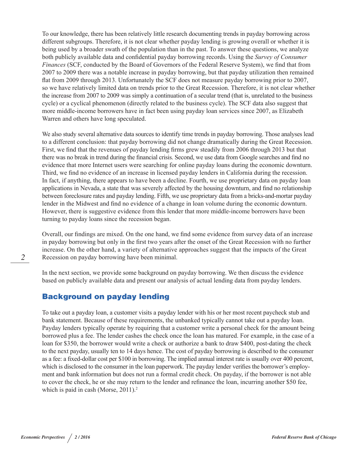To our knowledge, there has been relatively little research documenting trends in payday borrowing across different subgroups. Therefore, it is not clear whether payday lending is growing overall or whether it is being used by a broader swath of the population than in the past. To answer these questions, we analyze both publicly available data and confidential payday borrowing records. Using the *Survey of Consumer Finances* (SCF, conducted by the Board of Governors of the Federal Reserve System), we find that from 2007 to 2009 there was a notable increase in payday borrowing, but that payday utilization then remained flat from 2009 through 2013. Unfortunately the SCF does not measure payday borrowing prior to 2007, so we have relatively limited data on trends prior to the Great Recession. Therefore, it is not clear whether the increase from 2007 to 2009 was simply a continuation of a secular trend (that is, unrelated to the business cycle) or a cyclical phenomenon (directly related to the business cycle). The SCF data also suggest that more middle-income borrowers have in fact been using payday loan services since 2007, as Elizabeth Warren and others have long speculated.

We also study several alternative data sources to identify time trends in payday borrowing. Those analyses lead to a different conclusion: that payday borrowing did not change dramatically during the Great Recession. First, we find that the revenues of payday lending firms grew steadily from 2006 through 2013 but that there was no break in trend during the financial crisis. Second, we use data from Google searches and find no evidence that more Internet users were searching for online payday loans during the economic downturn. Third, we find no evidence of an increase in licensed payday lenders in California during the recession. In fact, if anything, there appears to have been a decline. Fourth, we use proprietary data on payday loan applications in Nevada, a state that was severely affected by the housing downturn, and find no relationship between foreclosure rates and payday lending. Fifth, we use proprietary data from a bricks-and-mortar payday lender in the Midwest and find no evidence of a change in loan volume during the economic downturn. However, there is suggestive evidence from this lender that more middle-income borrowers have been turning to payday loans since the recession began.

Overall, our findings are mixed. On the one hand, we find some evidence from survey data of an increase in payday borrowing but only in the first two years after the onset of the Great Recession with no further increase. On the other hand, a variety of alternative approaches suggest that the impacts of the Great Recession on payday borrowing have been minimal.

In the next section, we provide some background on payday borrowing. We then discuss the evidence based on publicly available data and present our analysis of actual lending data from payday lenders.

#### Background on payday lending

To take out a payday loan, a customer visits a payday lender with his or her most recent paycheck stub and bank statement. Because of these requirements, the unbanked typically cannot take out a payday loan. Payday lenders typically operate by requiring that a customer write a personal check for the amount being borrowed plus a fee. The lender cashes the check once the loan has matured. For example, in the case of a loan for \$350, the borrower would write a check or authorize a bank to draw \$400, post-dating the check to the next payday, usually ten to 14 days hence. The cost of payday borrowing is described to the consumer as a fee: a fixed-dollar cost per \$100 in borrowing. The implied annual interest rate is usually over 400 percent, which is disclosed to the consumer in the loan paperwork. The payday lender verifies the borrower's employment and bank information but does not run a formal credit check. On payday, if the borrower is not able to cover the check, he or she may return to the lender and refinance the loan, incurring another \$50 fee, which is paid in cash (Morse, 2011).<sup>2</sup>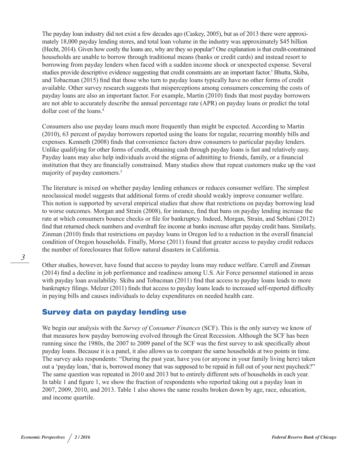The payday loan industry did not exist a few decades ago (Caskey, 2005), but as of 2013 there were approximately 18,000 payday lending stores, and total loan volume in the industry was approximately \$45 billion (Hecht, 2014). Given how costly the loans are, why are they so popular? One explanation is that credit-constrained households are unable to borrow through traditional means (banks or credit cards) and instead resort to borrowing from payday lenders when faced with a sudden income shock or unexpected expense. Several studies provide descriptive evidence suggesting that credit constraints are an important factor.<sup>3</sup> Bhutta, Skiba, and Tobacman (2015) find that those who turn to payday loans typically have no other forms of credit available. Other survey research suggests that misperceptions among consumers concerning the costs of payday loans are also an important factor. For example, Martin (2010) finds that most payday borrowers are not able to accurately describe the annual percentage rate (APR) on payday loans or predict the total dollar cost of the loans.<sup>4</sup>

Consumers also use payday loans much more frequently than might be expected. According to Martin (2010), 63 percent of payday borrowers reported using the loans for regular, recurring monthly bills and expenses. Kenneth (2008) finds that convenience factors draw consumers to particular payday lenders. Unlike qualifying for other forms of credit, obtaining cash through payday loans is fast and relatively easy. Payday loans may also help individuals avoid the stigma of admitting to friends, family, or a financial institution that they are financially constrained. Many studies show that repeat customers make up the vast majority of payday customers.5

The literature is mixed on whether payday lending enhances or reduces consumer welfare. The simplest neoclassical model suggests that additional forms of credit should weakly improve consumer welfare. This notion is supported by several empirical studies that show that restrictions on payday borrowing lead to worse outcomes. Morgan and Strain (2008), for instance, find that bans on payday lending increase the rate at which consumers bounce checks or file for bankruptcy. Indeed, Morgan, Strain, and Seblani (2012) find that returned check numbers and overdraft fee income at banks increase after payday credit bans. Similarly, Zinman (2010) finds that restrictions on payday loans in Oregon led to a reduction in the overall financial condition of Oregon households. Finally, Morse (2011) found that greater access to payday credit reduces the number of foreclosures that follow natural disasters in California.

Other studies, however, have found that access to payday loans may reduce welfare. Carrell and Zinman (2014) find a decline in job performance and readiness among U.S. Air Force personnel stationed in areas with payday loan availability. Skiba and Tobacman (2011) find that access to payday loans leads to more bankruptcy filings. Melzer (2011) finds that access to payday loans leads to increased self-reported difficulty in paying bills and causes individuals to delay expenditures on needed health care.

### Survey data on payday lending use

We begin our analysis with the *Survey of Consumer Finances* (SCF). This is the only survey we know of that measures how payday borrowing evolved through the Great Recession. Although the SCF has been running since the 1980s, the 2007 to 2009 panel of the SCF was the first survey to ask specifically about payday loans. Because it is a panel, it also allows us to compare the same households at two points in time. The survey asks respondents: "During the past year, have you (or anyone in your family living here) taken out a 'payday loan,' that is, borrowed money that was supposed to be repaid in full out of your next paycheck?" The same question was repeated in 2010 and 2013 but to entirely different sets of households in each year. In table 1 and figure 1, we show the fraction of respondents who reported taking out a payday loan in 2007, 2009, 2010, and 2013. Table 1 also shows the same results broken down by age, race, education, and income quartile.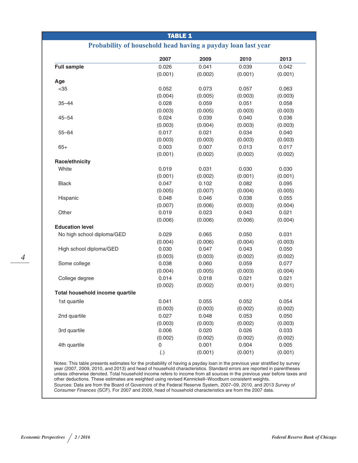| <b>TABLE 1</b>                  |                                                              |         |         |         |  |
|---------------------------------|--------------------------------------------------------------|---------|---------|---------|--|
|                                 | Probability of household head having a payday loan last year |         |         |         |  |
|                                 | 2007                                                         | 2009    | 2010    | 2013    |  |
| <b>Full sample</b>              | 0.026                                                        | 0.041   | 0.039   | 0.042   |  |
|                                 | (0.001)                                                      | (0.002) | (0.001) | (0.001) |  |
| Age                             |                                                              |         |         |         |  |
| $35$                            | 0.052                                                        | 0.073   | 0.057   | 0.063   |  |
|                                 | (0.004)                                                      | (0.005) | (0.003) | (0.003) |  |
| $35 - 44$                       | 0.028                                                        | 0.059   | 0.051   | 0.058   |  |
|                                 | (0.003)                                                      | (0.005) | (0.003) | (0.003) |  |
| $45 - 54$                       | 0.024                                                        | 0.039   | 0.040   | 0.036   |  |
|                                 | (0.003)                                                      | (0.004) | (0.003) | (0.003) |  |
| $55 - 64$                       | 0.017                                                        | 0.021   | 0.034   | 0.040   |  |
|                                 | (0.003)                                                      | (0.003) | (0.003) | (0.003) |  |
| $65+$                           | 0.003                                                        | 0.007   | 0.013   | 0.017   |  |
|                                 | (0.001)                                                      | (0.002) | (0.002) | (0.002) |  |
| Race/ethnicity                  |                                                              |         |         |         |  |
| White                           | 0.019                                                        | 0.031   | 0.030   | 0.030   |  |
|                                 | (0.001)                                                      | (0.002) | (0.001) | (0.001) |  |
| <b>Black</b>                    | 0.047                                                        | 0.102   | 0.082   | 0.095   |  |
|                                 | (0.005)                                                      | (0.007) | (0.004) | (0.005) |  |
| Hispanic                        | 0.048                                                        | 0.046   | 0.038   | 0.055   |  |
|                                 | (0.007)                                                      | (0.006) | (0.003) | (0.004) |  |
| Other                           | 0.019                                                        | 0.023   | 0.043   | 0.021   |  |
|                                 | (0.006)                                                      | (0.006) | (0.006) | (0.004) |  |
| <b>Education level</b>          |                                                              |         |         |         |  |
| No high school diploma/GED      | 0.029                                                        | 0.065   | 0.050   | 0.031   |  |
|                                 | (0.004)                                                      | (0.006) | (0.004) | (0.003) |  |
| High school diploma/GED         | 0.030                                                        | 0.047   | 0.043   | 0.050   |  |
|                                 | (0.003)                                                      | (0.003) | (0.002) | (0.002) |  |
| Some college                    | 0.038                                                        | 0.060   | 0.059   | 0.077   |  |
|                                 | (0.004)                                                      | (0.005) | (0.003) | (0.004) |  |
| College degree                  | 0.014                                                        | 0.018   | 0.021   | 0.021   |  |
|                                 | (0.002)                                                      | (0.002) | (0.001) | (0.001) |  |
| Total household income quartile |                                                              |         |         |         |  |
| 1st quartile                    | 0.041                                                        | 0.055   | 0.052   | 0.054   |  |
|                                 | (0.003)                                                      | (0.003) | (0.002) | (0.002) |  |
| 2nd quartile                    | 0.027                                                        | 0.048   | 0.053   | 0.050   |  |
|                                 | (0.003)                                                      | (0.003) | (0.002) | (0.003) |  |
| 3rd quartile                    | 0.006                                                        | 0.020   | 0.026   | 0.033   |  |
|                                 | (0.002)                                                      | (0.002) | (0.002) | (0.002) |  |
| 4th quartile                    | 0                                                            | 0.001   | 0.004   | 0.005   |  |
|                                 | (.)                                                          | (0.001) | (0.001) | (0.001) |  |

Notes: This table presents estimates for the probability of having a payday loan in the previous year stratified by survey year (2007, 2009, 2010, and 2013) and head of household characteristics. Standard errors are reported in parentheses unless otherwise denoted. Total household income refers to income from all sources in the previous year before taxes and other deductions. These estimates are weighted using revised Kennickell–Woodburn consistent weights. Sources: Data are from the Board of Governors of the Federal Reserve System, 2007–09, 2010, and 2013 *Survey of Consumer Finances* (SCF). For 2007 and 2009, head of household characteristics are from the 2007 data.

*4*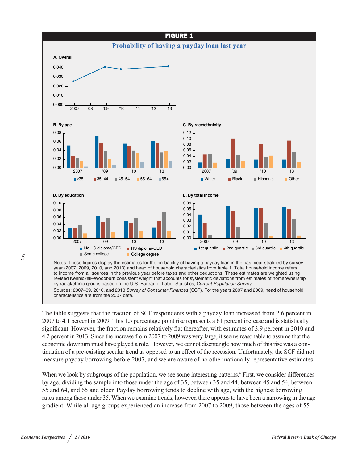

year (2007, 2009, 2010, and 2013) and head of household characteristics from table 1. Total household income refers to income from all sources in the previous year before taxes and other deductions. These estimates are weighted using revised Kennickell–Woodburn consistent weight that accounts for systematic deviations from estimates of homeownership by racial/ethnic groups based on the U.S. Bureau of Labor Statistics, *Current Population Survey*. Sources: 2007–09, 2010, and 2013 *Survey of Consumer Finances* (SCF). For the years 2007 and 2009, head of household characteristics are from the 2007 data.

The table suggests that the fraction of SCF respondents with a payday loan increased from 2.6 percent in 2007 to 4.1 percent in 2009. This 1.5 percentage point rise represents a 61 percent increase and is statistically significant. However, the fraction remains relatively flat thereafter, with estimates of 3.9 percent in 2010 and 4.2 percent in 2013. Since the increase from 2007 to 2009 was very large, it seems reasonable to assume that the economic downturn must have played a role. However, we cannot disentangle how much of this rise was a continuation of a pre-existing secular trend as opposed to an effect of the recession. Unfortunately, the SCF did not measure payday borrowing before 2007, and we are aware of no other nationally representative estimates.

When we look by subgroups of the population, we see some interesting patterns.<sup>6</sup> First, we consider differences by age, dividing the sample into those under the age of 35, between 35 and 44, between 45 and 54, between 55 and 64, and 65 and older. Payday borrowing tends to decline with age, with the highest borrowing rates among those under 35. When we examine trends, however, there appears to have been a narrowing in the age gradient. While all age groups experienced an increase from 2007 to 2009, those between the ages of 55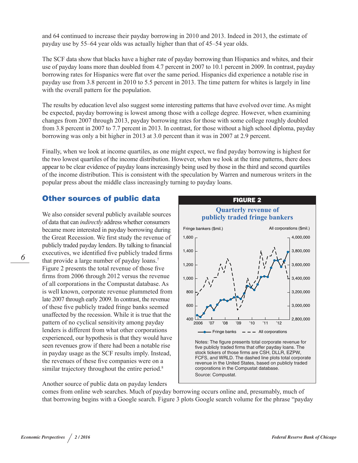and 64 continued to increase their payday borrowing in 2010 and 2013. Indeed in 2013, the estimate of payday use by 55–64 year olds was actually higher than that of 45–54 year olds.

The SCF data show that blacks have a higher rate of payday borrowing than Hispanics and whites, and their use of payday loans more than doubled from 4.7 percent in 2007 to 10.1 percent in 2009. In contrast, payday borrowing rates for Hispanics were flat over the same period. Hispanics did experience a notable rise in payday use from 3.8 percent in 2010 to 5.5 percent in 2013. The time pattern for whites is largely in line with the overall pattern for the population.

The results by education level also suggest some interesting patterns that have evolved over time. As might be expected, payday borrowing is lowest among those with a college degree. However, when examining changes from 2007 through 2013, payday borrowing rates for those with some college roughly doubled from 3.8 percent in 2007 to 7.7 percent in 2013. In contrast, for those without a high school diploma, payday borrowing was only a bit higher in 2013 at 3.0 percent than it was in 2007 at 2.9 percent.

Finally, when we look at income quartiles, as one might expect, we find payday borrowing is highest for the two lowest quartiles of the income distribution. However, when we look at the time patterns, there does appear to be clear evidence of payday loans increasingly being used by those in the third and second quartiles of the income distribution. This is consistent with the speculation by Warren and numerous writers in the popular press about the middle class increasingly turning to payday loans.

#### Other sources of public data

We also consider several publicly available sources of data that can *indirectly* address whether consumers became more interested in payday borrowing during the Great Recession. We first study the revenue of publicly traded payday lenders. By talking to financial executives, we identified five publicly traded firms that provide a large number of payday loans.<sup>7</sup> Figure 2 presents the total revenue of those five firms from 2006 through 2012 versus the revenue of all corporations in the Compustat database. As is well known, corporate revenue plummeted from late 2007 through early 2009. In contrast, the revenue of these five publicly traded fringe banks seemed unaffected by the recession. While it is true that the pattern of no cyclical sensitivity among payday lenders is different from what other corporations experienced, our hypothesis is that they would have seen revenues grow if there had been a notable rise in payday usage as the SCF results imply. Instead, the revenues of these five companies were on a similar trajectory throughout the entire period.<sup>8</sup>



Another source of public data on payday lenders

comes from online web searches. Much of payday borrowing occurs online and, presumably, much of that borrowing begins with a Google search. Figure 3 plots Google search volume for the phrase "payday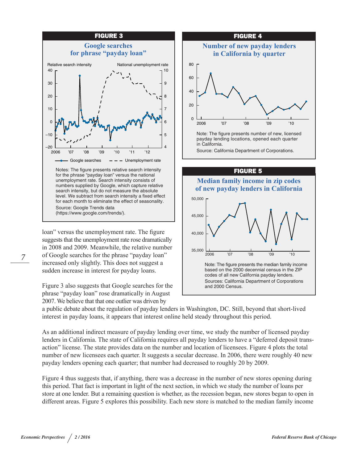

loan" versus the unemployment rate. The figure suggests that the unemployment rate rose dramatically in 2008 and 2009. Meanwhile, the relative number of Google searches for the phrase "payday loan" increased only slightly. This does not suggest a sudden increase in interest for payday loans.

Figure 3 also suggests that Google searches for the phrase "payday loan" rose dramatically in August 2007. We believe that that one outlier was driven by





a public debate about the regulation of payday lenders in Washington, DC. Still, beyond that short-lived interest in payday loans, it appears that interest online held steady throughout this period.

As an additional indirect measure of payday lending over time, we study the number of licensed payday lenders in California. The state of California requires all payday lenders to have a "deferred deposit transaction" license. The state provides data on the number and location of licensees. Figure 4 plots the total number of new licensees each quarter. It suggests a secular decrease. In 2006, there were roughly 40 new payday lenders opening each quarter; that number had decreased to roughly 20 by 2009.

Figure 4 thus suggests that, if anything, there was a decrease in the number of new stores opening during this period. That fact is important in light of the next section, in which we study the number of loans per store at one lender. But a remaining question is whether, as the recession began, new stores began to open in different areas. Figure 5 explores this possibility. Each new store is matched to the median family income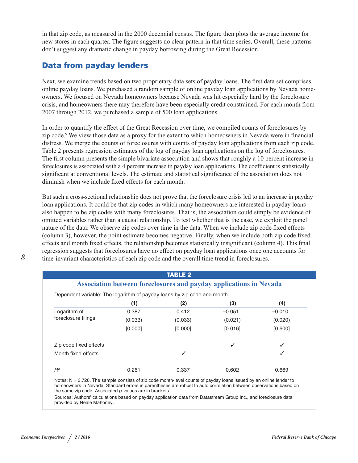in that zip code, as measured in the 2000 decennial census. The figure then plots the average income for new stores in each quarter. The figure suggests no clear pattern in that time series. Overall, these patterns don't suggest any dramatic change in payday borrowing during the Great Recession.

## Data from payday lenders

Next, we examine trends based on two proprietary data sets of payday loans. The first data set comprises online payday loans. We purchased a random sample of online payday loan applications by Nevada homeowners. We focused on Nevada homeowners because Nevada was hit especially hard by the foreclosure crisis, and homeowners there may therefore have been especially credit constrained. For each month from 2007 through 2012, we purchased a sample of 500 loan applications.

In order to quantify the effect of the Great Recession over time, we compiled counts of foreclosures by zip code.<sup>9</sup> We view those data as a proxy for the extent to which homeowners in Nevada were in financial distress. We merge the counts of foreclosures with counts of payday loan applications from each zip code. Table 2 presents regression estimates of the log of payday loan applications on the log of foreclosures. The first column presents the simple bivariate association and shows that roughly a 10 percent increase in foreclosures is associated with a 4 percent increase in payday loan applications. The coefficient is statistically significant at conventional levels. The estimate and statistical significance of the association does not diminish when we include fixed effects for each month.

But such a cross-sectional relationship does not prove that the foreclosure crisis led to an increase in payday loan applications. It could be that zip codes in which many homeowners are interested in payday loans also happen to be zip codes with many foreclosures. That is, the association could simply be evidence of omitted variables rather than a causal relationship. To test whether that is the case, we exploit the panel nature of the data: We observe zip codes over time in the data. When we include zip code fixed effects (column 3), however, the point estimate becomes negative. Finally, when we include both zip code fixed effects and month fixed effects, the relationship becomes statistically insignificant (column 4). This final regression suggests that foreclosures have no effect on payday loan applications once one accounts for time-invariant characteristics of each zip code and the overall time trend in foreclosures.

| <b>TABLE 2</b><br><b>Association between foreclosures and payday applications in Nevada</b> |         |         |          |          |  |  |  |
|---------------------------------------------------------------------------------------------|---------|---------|----------|----------|--|--|--|
| Dependent variable: The logarithm of payday loans by zip code and month                     |         |         |          |          |  |  |  |
|                                                                                             | (1)     | (2)     | (3)      | (4)      |  |  |  |
| Logarithm of<br>foreclosure filings                                                         | 0.387   | 0.412   | $-0.051$ | $-0.010$ |  |  |  |
|                                                                                             | (0.033) | (0.033) | (0.021)  | (0.020)  |  |  |  |
|                                                                                             | [0.000] | [0.000] | [0.016]  | [0.600]  |  |  |  |
| Zip code fixed effects                                                                      |         |         | ✓        |          |  |  |  |
| Month fixed effects                                                                         |         |         |          |          |  |  |  |
| $R^2$                                                                                       | 0.261   | 0.337   | 0.602    | 0.669    |  |  |  |

the same zip code. Associated *p*-values are in brackets. Sources: Authors' calculations based on payday application data from Datastream Group Inc., and foreclosure data provided by Neale Mahoney.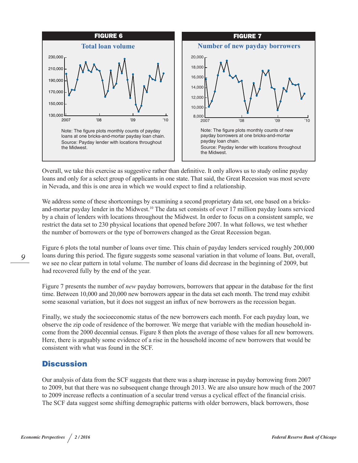

Overall, we take this exercise as suggestive rather than definitive. It only allows us to study online payday loans and only for a select group of applicants in one state. That said, the Great Recession was most severe in Nevada, and this is one area in which we would expect to find a relationship.

We address some of these shortcomings by examining a second proprietary data set, one based on a bricksand-mortar payday lender in the Midwest.<sup>10</sup> The data set consists of over 17 million payday loans serviced by a chain of lenders with locations throughout the Midwest. In order to focus on a consistent sample, we restrict the data set to 230 physical locations that opened before 2007. In what follows, we test whether the number of borrowers or the type of borrowers changed as the Great Recession began.

Figure 6 plots the total number of loans over time. This chain of payday lenders serviced roughly 200,000 loans during this period. The figure suggests some seasonal variation in that volume of loans. But, overall, we see no clear pattern in total volume. The number of loans did decrease in the beginning of 2009, but had recovered fully by the end of the year.

Figure 7 presents the number of *new* payday borrowers, borrowers that appear in the database for the first time. Between 10,000 and 20,000 new borrowers appear in the data set each month. The trend may exhibit some seasonal variation, but it does not suggest an influx of new borrowers as the recession began.

Finally, we study the socioeconomic status of the new borrowers each month. For each payday loan, we observe the zip code of residence of the borrower. We merge that variable with the median household income from the 2000 decennial census. Figure 8 then plots the average of those values for all new borrowers. Here, there is arguably some evidence of a rise in the household income of new borrowers that would be consistent with what was found in the SCF.

#### **Discussion**

Our analysis of data from the SCF suggests that there was a sharp increase in payday borrowing from 2007 to 2009, but that there was no subsequent change through 2013. We are also unsure how much of the 2007 to 2009 increase reflects a continuation of a secular trend versus a cyclical effect of the financial crisis. The SCF data suggest some shifting demographic patterns with older borrowers, black borrowers, those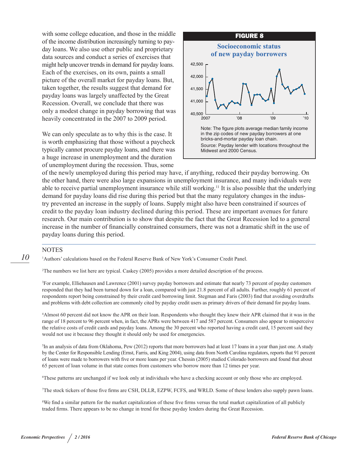with some college education, and those in the middle of the income distribution increasingly turning to payday loans. We also use other public and proprietary data sources and conduct a series of exercises that might help uncover trends in demand for payday loans. Each of the exercises, on its own, paints a small picture of the overall market for payday loans. But, taken together, the results suggest that demand for payday loans was largely unaffected by the Great Recession. Overall, we conclude that there was only a modest change in payday borrowing that was heavily concentrated in the 2007 to 2009 period.

We can only speculate as to why this is the case. It is worth emphasizing that those without a paycheck typically cannot procure payday loans, and there was a huge increase in unemployment and the duration of unemployment during the recession. Thus, some



of the newly unemployed during this period may have, if anything, reduced their payday borrowing. On the other hand, there were also large expansions in unemployment insurance, and many individuals were able to receive partial unemployment insurance while still working.11 It is also possible that the underlying demand for payday loans did rise during this period but that the many regulatory changes in the industry prevented an increase in the supply of loans. Supply might also have been constrained if sources of credit to the payday loan industry declined during this period. These are important avenues for future research. Our main contribution is to show that despite the fact that the Great Recession led to a general increase in the number of financially constrained consumers, there was not a dramatic shift in the use of payday loans during this period.

#### **NOTES**

1 Authors' calculations based on the Federal Reserve Bank of New York's Consumer Credit Panel.

2 The numbers we list here are typical. Caskey (2005) provides a more detailed description of the process.

3 For example, Elliehausen and Lawrence (2001) survey payday borrowers and estimate that nearly 73 percent of payday customers responded that they had been turned down for a loan, compared with just 21.8 percent of all adults. Further, roughly 61 percent of respondents report being constrained by their credit card borrowing limit. Stegman and Faris (2003) find that avoiding overdrafts and problems with debt collection are commonly cited by payday credit users as primary drivers of their demand for payday loans.

4 Almost 60 percent did not know the APR on their loan. Respondents who thought they knew their APR claimed that it was in the range of 18 percent to 96 percent when, in fact, the APRs were between 417 and 587 percent. Consumers also appear to misperceive the relative costs of credit cards and payday loans. Among the 30 percent who reported having a credit card, 15 percent said they would not use it because they thought it should only be used for emergencies.

5 In an analysis of data from Oklahoma, Pew (2012) reports that more borrowers had at least 17 loans in a year than just one. A study by the Center for Responsible Lending (Ernst, Farris, and King 2004), using data from North Carolina regulators, reports that 91 percent of loans were made to borrowers with five or more loans per year. Chessin (2005) studied Colorado borrowers and found that about 65 percent of loan volume in that state comes from customers who borrow more than 12 times per year.

6 These patterns are unchanged if we look only at individuals who have a checking account or only those who are employed.

7 The stock tickers of those five firms are CSH, DLLR, EZPW, FCFS, and WRLD. Some of these lenders also supply pawn loans.

8 We find a similar pattern for the market capitalization of these five firms versus the total market capitalization of all publicly traded firms. There appears to be no change in trend for these payday lenders during the Great Recession.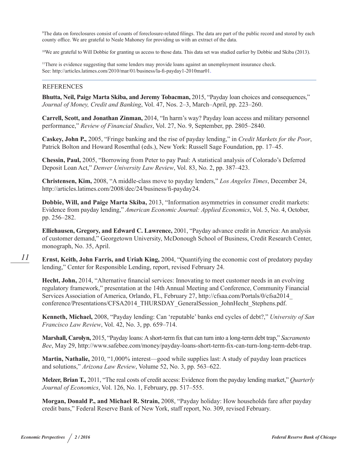9 The data on foreclosures consist of counts of foreclosure-related filings. The data are part of the public record and stored by each county office. We are grateful to Neale Mahoney for providing us with an extract of the data.

10We are grateful to Will Dobbie for granting us access to those data. This data set was studied earlier by Dobbie and Skiba (2013).

<sup>11</sup>There is evidence suggesting that some lenders may provide loans against an unemployment insurance check. See: <http://articles.latimes.com/2010/mar/01/business/la-fi-payday1-2010mar01>.

#### REFERENCES

**Bhutta, Neil, Paige Marta Skiba, and Jeremy Tobacman,** 2015, "Payday loan choices and consequences," *Journal of Money, Credit and Banking*, Vol. 47, Nos. 2–3, March–April, pp. 223–260.

**Carrell, Scott, and Jonathan Zinman,** 2014, "In harm's way? Payday loan access and military personnel performance," *Review of Financial Studies*, Vol. 27, No. 9, September, pp. 2805–2840.

**Caskey, John P.,** 2005, "Fringe banking and the rise of payday lending," in *Credit Markets for the Poor*, Patrick Bolton and Howard Rosenthal (eds.), New York: Russell Sage Foundation, pp. 17–45.

**Chessin, Paul,** 2005, "Borrowing from Peter to pay Paul: A statistical analysis of Colorado's Deferred Deposit Loan Act," *Denver University Law Review*, Vol. 83, No. 2, pp. 387–423.

**Christensen, Kim,** 2008, "A middle-class move to payday lenders," *Los Angeles Times*, December 24, <http://articles.latimes.com/2008/dec/24/business/fi-payday24>.

**Dobbie, Will, and Paige Marta Skiba,** 2013, "Information asymmetries in consumer credit markets: Evidence from payday lending," *American Economic Journal: Applied Economics*, Vol. 5, No. 4, October, pp. 256–282.

**Elliehausen, Gregory, and Edward C. Lawrence,** 2001, "Payday advance credit in America: An analysis of customer demand," Georgetown University, McDonough School of Business, Credit Research Center, monograph, No. 35, April.

**Ernst, Keith, John Farris, and Uriah King,** 2004, "Quantifying the economic cost of predatory payday lending," Center for Responsible Lending, report, revised February 24.

**Hecht, John,** 2014, "Alternative financial services: Innovating to meet customer needs in an evolving regulatory framework," presentation at the 14th Annual Meeting and Conference, Community Financial Services Association of America, Orlando, FL, February 27, [http://cfsaa.com/Portals/0/cfsa2014\\_](http://cfsaa.com/Portals/0/cfsa2014_conference/Presentations/CFSA2014_THURSDAY_GeneralSession_JohnHecht_Stephens.pdf) [conference/Presentations/CFSA2014\\_THURSDAY\\_GeneralSession\\_JohnHecht\\_Stephens.pdf](http://cfsaa.com/Portals/0/cfsa2014_conference/Presentations/CFSA2014_THURSDAY_GeneralSession_JohnHecht_Stephens.pdf).

**Kenneth, Michael,** 2008, "Payday lending: Can 'reputable' banks end cycles of debt?," *University of San Francisco Law Review*, Vol. 42, No. 3, pp. 659–714.

**Marshall, Carolyn,** 2015, "Payday loans: A short-term fix that can turn into a long-term debt trap," *Sacramento Bee*, May 29,<http://www.safebee.com/money/payday-loans-short-term-fix-can-turn-long-term-debt-trap>.

**Martin, Nathalie,** 2010, "1,000% interest—good while supplies last: A study of payday loan practices and solutions," *Arizona Law Review*, Volume 52, No. 3, pp. 563–622.

**Melzer, Brian T.,** 2011, "The real costs of credit access: Evidence from the payday lending market," *Quarterly Journal of Economics*, Vol. 126, No. 1, February, pp. 517–555.

**Morgan, Donald P., and Michael R. Strain,** 2008, "Payday holiday: How households fare after payday credit bans," Federal Reserve Bank of New York, staff report, No. 309, revised February.

*11*